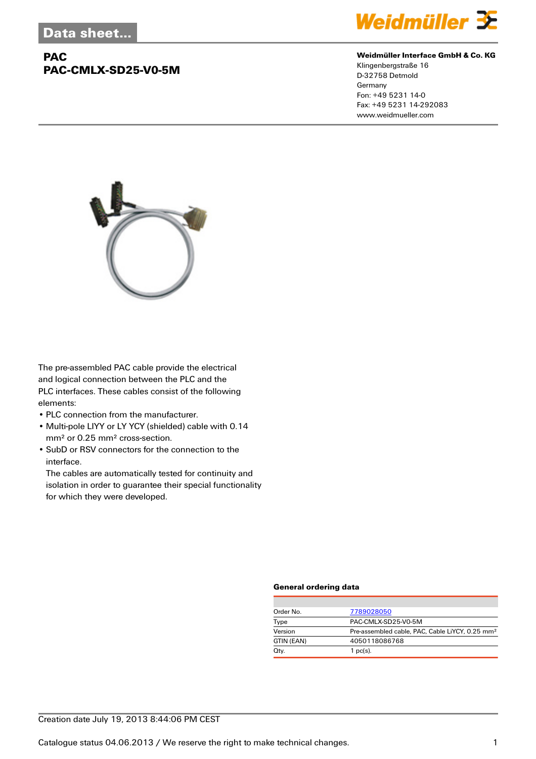## **PAC PAC-CMLX-SD25-V0-5M**



#### **Weidmüller Interface GmbH & Co. KG**

Klingenbergstraße 16 D-32758 Detmold Germany Fon: +49 5231 14-0 Fax: +49 5231 14-292083 www.weidmueller.com



The pre-assembled PAC cable provide the electrical and logical connection between the PLC and the PLC interfaces. These cables consist of the following elements:

- PLC connection from the manufacturer.
- Multi-pole LIYY or LY YCY (shielded) cable with 0.14 mm² or 0.25 mm² cross-section.
- SubD or RSV connectors for the connection to the interface.

The cables are automatically tested for continuity and isolation in order to guarantee their special functionality for which they were developed.

#### **General ordering data**

| Order No.  | 7789028050                                                  |  |  |
|------------|-------------------------------------------------------------|--|--|
| Type       | PAC-CMLX-SD25-V0-5M                                         |  |  |
| Version    | Pre-assembled cable, PAC, Cable LiYCY, 0.25 mm <sup>2</sup> |  |  |
| GTIN (EAN) | 4050118086768                                               |  |  |
| Qty.       | 1 $pc(s)$ .                                                 |  |  |